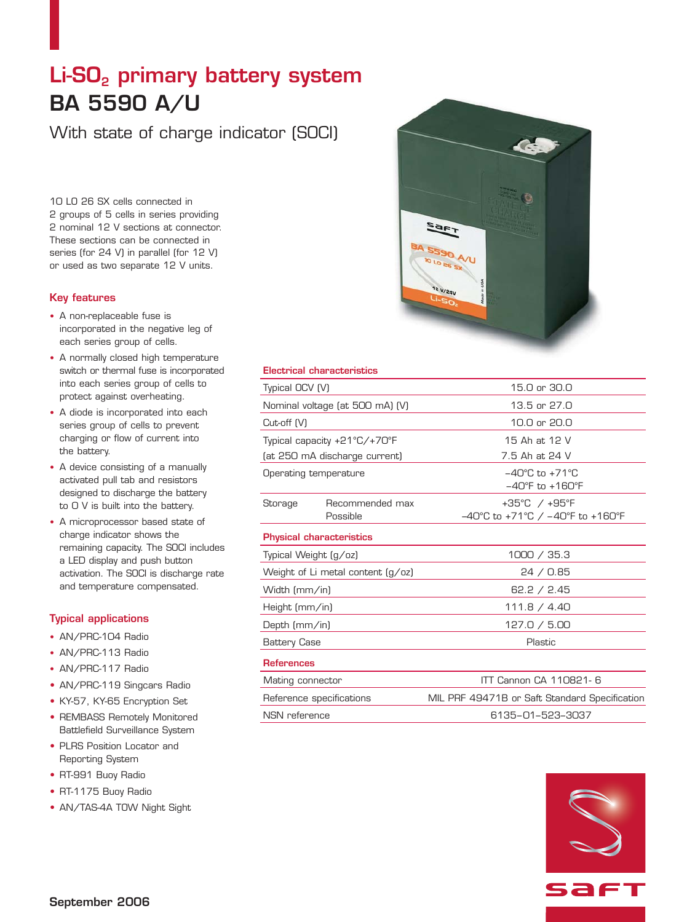# Li-SO<sub>2</sub> primary battery system **BA 5590 A/U**

With state of charge indicator (SOCI)

10 LO 26 SX cells connected in 2 groups of 5 cells in series providing 2 nominal 12 V sections at connector. These sections can be connected in series (for 24 V) in parallel (for 12 V) or used as two separate 12 V units.

## **Key features**

- **•** A non-replaceable fuse is incorporated in the negative leg of each series group of cells.
- **•** A normally closed high temperature switch or thermal fuse is incorporated into each series group of cells to protect against overheating.
- **•** A diode is incorporated into each series group of cells to prevent charging or flow of current into the battery.
- **•** A device consisting of a manually activated pull tab and resistors designed to discharge the battery to 0 V is built into the battery.
- **•** A microprocessor based state of charge indicator shows the remaining capacity. The SOCI includes a LED display and push button activation. The SOCI is discharge rate and temperature compensated.

# **Typical applications**

- **•** AN/PRC-104 Radio
- **•** AN/PRC-113 Radio
- **•** AN/PRC-117 Radio
- **•** AN/PRC-119 Singcars Radio
- **•** KY-57, KY-65 Encryption Set
- **•** REMBASS Remotely Monitored Battlefield Surveillance System
- **•** PLRS Position Locator and Reporting System
- **•** RT-991 Buoy Radio
- **•** RT-1175 Buoy Radio
- **•** AN/TAS-4A TOW Night Sight



## **Electrical characteristics**

| Typical OCV (V)                   |                             | 15.0 or 30.0                                                                                |
|-----------------------------------|-----------------------------|---------------------------------------------------------------------------------------------|
| Nominal voltage (at 500 mA) (V)   |                             | 13.5 or 27.0                                                                                |
| Cut-off (V)                       |                             | 10.0 or 20.0                                                                                |
| Typical capacity +21°C/+70°F      |                             | 15 Ah at 12 V                                                                               |
| (at 250 mA discharge current)     |                             | 7.5 Ah at 24 V                                                                              |
| Operating temperature             |                             | $-40^{\circ}$ C to $+71^{\circ}$ C<br>$-40^{\circ}$ F to $+160^{\circ}$ F                   |
| Storage                           | Recommended max<br>Possible | +35°C / +95°F<br>$-40^{\circ}$ C to +71 $^{\circ}$ C / $-40^{\circ}$ F to +160 $^{\circ}$ F |
| <b>Physical characteristics</b>   |                             |                                                                                             |
| Typical Weight (g/oz)             |                             | 1000 / 35.3                                                                                 |
| Weight of Li metal content (g/oz) |                             | 24 / 0.85                                                                                   |
| Width (mm/in)                     |                             | 62.2 / 2.45                                                                                 |
| Height (mm/in)                    |                             | 111.8 / 4.40                                                                                |
| Depth (mm/in)                     |                             | 127.0 / 5.00                                                                                |
| <b>Battery Case</b>               |                             | Plastic                                                                                     |
| <b>References</b>                 |                             |                                                                                             |
| Mating connector                  |                             | ITT Cannon CA 110821-6                                                                      |
| Reference specifications          |                             | MIL PRF 49471B or Saft Standard Specification                                               |
| NSN reference                     |                             | 6135-01-523-3037                                                                            |